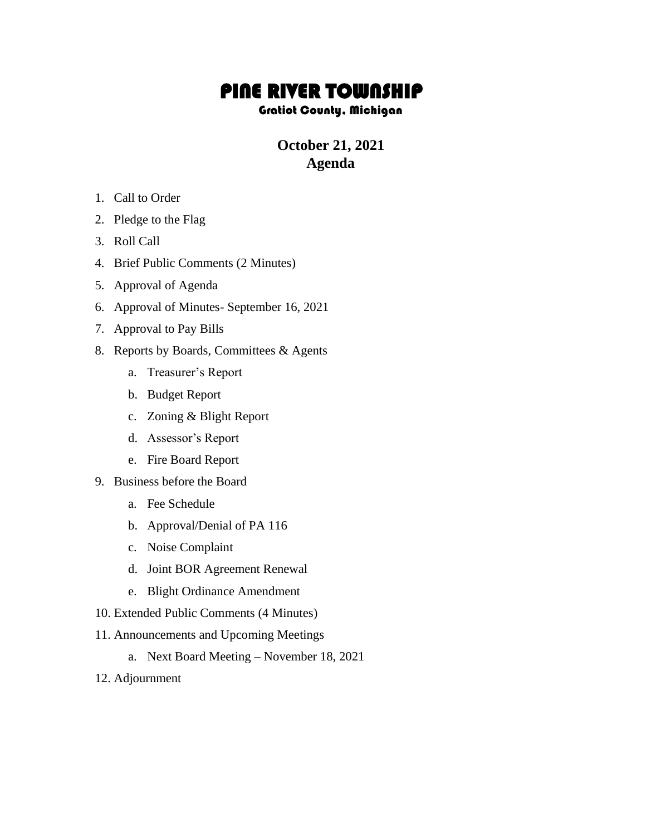## PINE RIVER TOWNSHIP

## Gratiot County, Michigan

## **October 21, 2021 Agenda**

- 1. Call to Order
- 2. Pledge to the Flag
- 3. Roll Call
- 4. Brief Public Comments (2 Minutes)
- 5. Approval of Agenda
- 6. Approval of Minutes- September 16, 2021
- 7. Approval to Pay Bills
- 8. Reports by Boards, Committees & Agents
	- a. Treasurer's Report
	- b. Budget Report
	- c. Zoning & Blight Report
	- d. Assessor's Report
	- e. Fire Board Report
- 9. Business before the Board
	- a. Fee Schedule
	- b. Approval/Denial of PA 116
	- c. Noise Complaint
	- d. Joint BOR Agreement Renewal
	- e. Blight Ordinance Amendment
- 10. Extended Public Comments (4 Minutes)
- 11. Announcements and Upcoming Meetings
	- a. Next Board Meeting November 18, 2021
- 12. Adjournment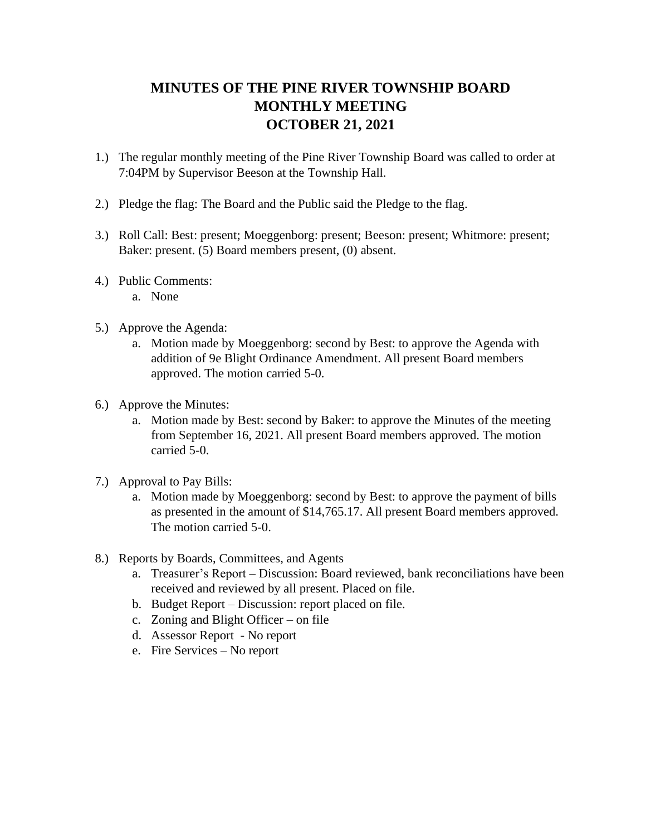## **MINUTES OF THE PINE RIVER TOWNSHIP BOARD MONTHLY MEETING OCTOBER 21, 2021**

- 1.) The regular monthly meeting of the Pine River Township Board was called to order at 7:04PM by Supervisor Beeson at the Township Hall.
- 2.) Pledge the flag: The Board and the Public said the Pledge to the flag.
- 3.) Roll Call: Best: present; Moeggenborg: present; Beeson: present; Whitmore: present; Baker: present. (5) Board members present, (0) absent.
- 4.) Public Comments:
	- a. None
- 5.) Approve the Agenda:
	- a. Motion made by Moeggenborg: second by Best: to approve the Agenda with addition of 9e Blight Ordinance Amendment. All present Board members approved. The motion carried 5-0.
- 6.) Approve the Minutes:
	- a. Motion made by Best: second by Baker: to approve the Minutes of the meeting from September 16, 2021. All present Board members approved. The motion carried 5-0.
- 7.) Approval to Pay Bills:
	- a. Motion made by Moeggenborg: second by Best: to approve the payment of bills as presented in the amount of \$14,765.17. All present Board members approved. The motion carried 5-0.
- 8.) Reports by Boards, Committees, and Agents
	- a. Treasurer's Report Discussion: Board reviewed, bank reconciliations have been received and reviewed by all present. Placed on file.
	- b. Budget Report Discussion: report placed on file.
	- c. Zoning and Blight Officer on file
	- d. Assessor Report No report
	- e. Fire Services No report